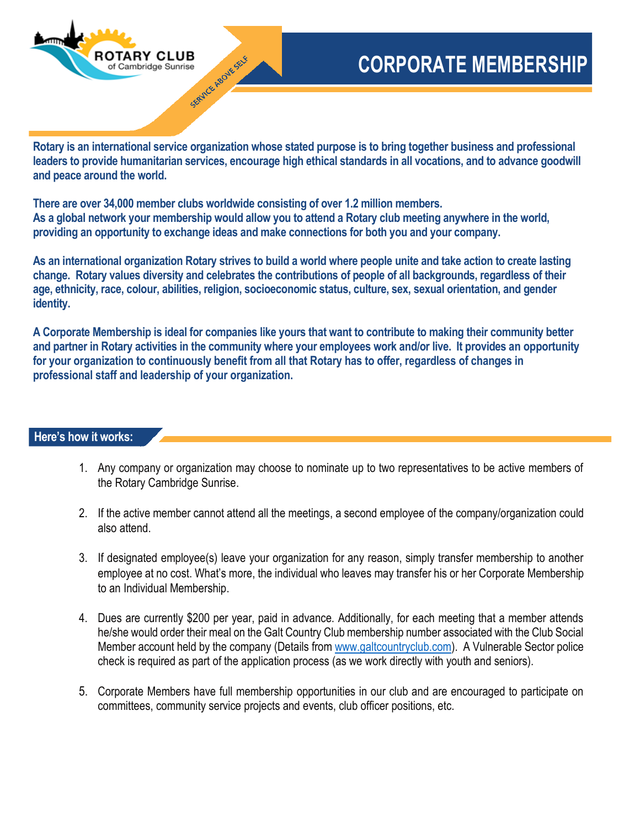

## **CORPORATE MEMBERSHIP**

**Rotary is an international service organization whose stated purpose is to bring together business and professional leaders to provide humanitarian services, encourage high ethical standards in all vocations, and to advance goodwill and peace around the world.**

**There are over 34,000 member clubs worldwide consisting of over 1.2 million members. As a global network your membership would allow you to attend a Rotary club meeting anywhere in the world, providing an opportunity to exchange ideas and make connections for both you and your company.**

**As an international organization Rotary strives to build a world where people unite and take action to create lasting change. Rotary values diversity and celebrates the contributions of people of all backgrounds, regardless of their age, ethnicity, race, colour, abilities, religion, socioeconomic status, culture, sex, sexual orientation, and gender identity.**

**A Corporate Membership is ideal for companies like yours that want to contribute to making their community better and partner in Rotary activities in the community where your employees work and/or live. It provides an opportunity for your organization to continuously benefit from all that Rotary has to offer, regardless of changes in professional staff and leadership of your organization.**

## **Here's how it works:**

- 1. Any company or organization may choose to nominate up to two representatives to be active members of the Rotary Cambridge Sunrise.
- 2. If the active member cannot attend all the meetings, a second employee of the company/organization could also attend.
- 3. If designated employee(s) leave your organization for any reason, simply transfer membership to another employee at no cost. What's more, the individual who leaves may transfer his or her Corporate Membership to an Individual Membership.
- 4. Dues are currently \$200 per year, paid in advance. Additionally, for each meeting that a member attends he/she would order their meal on the Galt Country Club membership number associated with the Club Social Member account held by the company (Details from [www.galtcountryclub.com\)](http://www.galtcountryclub.com/). A Vulnerable Sector police check is required as part of the application process (as we work directly with youth and seniors).
- 5. Corporate Members have full membership opportunities in our club and are encouraged to participate on committees, community service projects and events, club officer positions, etc.